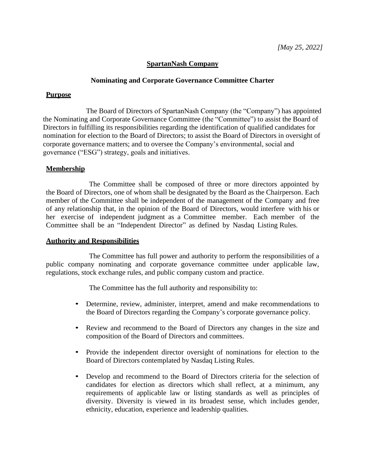# **SpartanNash Company**

## **Nominating and Corporate Governance Committee Charter**

### **Purpose**

The Board of Directors of SpartanNash Company (the "Company") has appointed the Nominating and Corporate Governance Committee (the "Committee") to assist the Board of Directors in fulfilling its responsibilities regarding the identification of qualified candidates for nomination for election to the Board of Directors; to assist the Board of Directors in oversight of corporate governance matters; and to oversee the Company's environmental, social and governance ("ESG") strategy, goals and initiatives.

## **Membership**

The Committee shall be composed of three or more directors appointed by the Board of Directors, one of whom shall be designated by the Board as the Chairperson. Each member of the Committee shall be independent of the management of the Company and free of any relationship that, in the opinion of the Board of Directors, would interfere with his or her exercise of independent judgment as a Committee member. Each member of the Committee shall be an "Independent Director" as defined by Nasdaq Listing Rules.

#### **Authority and Responsibilities**

The Committee has full power and authority to perform the responsibilities of a public company nominating and corporate governance committee under applicable law, regulations, stock exchange rules, and public company custom and practice.

The Committee has the full authority and responsibility to:

- Determine, review, administer, interpret, amend and make recommendations to the Board of Directors regarding the Company's corporate governance policy.
- Review and recommend to the Board of Directors any changes in the size and composition of the Board of Directors and committees.
- Provide the independent director oversight of nominations for election to the Board of Directors contemplated by Nasdaq Listing Rules.
- Develop and recommend to the Board of Directors criteria for the selection of candidates for election as directors which shall reflect, at a minimum, any requirements of applicable law or listing standards as well as principles of diversity. Diversity is viewed in its broadest sense, which includes gender, ethnicity, education, experience and leadership qualities.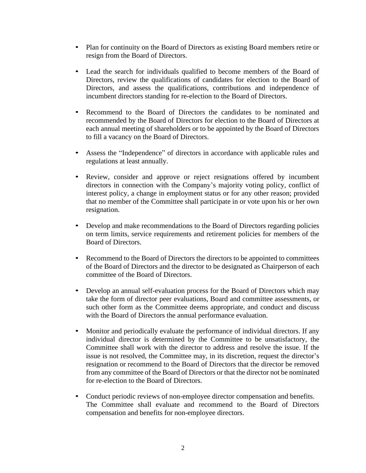- Plan for continuity on the Board of Directors as existing Board members retire or resign from the Board of Directors.
- Lead the search for individuals qualified to become members of the Board of Directors, review the qualifications of candidates for election to the Board of Directors, and assess the qualifications, contributions and independence of incumbent directors standing for re-election to the Board of Directors.
- Recommend to the Board of Directors the candidates to be nominated and recommended by the Board of Directors for election to the Board of Directors at each annual meeting of shareholders or to be appointed by the Board of Directors to fill a vacancy on the Board of Directors.
- Assess the "Independence" of directors in accordance with applicable rules and regulations at least annually.
- Review, consider and approve or reject resignations offered by incumbent directors in connection with the Company's majority voting policy, conflict of interest policy, a change in employment status or for any other reason; provided that no member of the Committee shall participate in or vote upon his or her own resignation.
- Develop and make recommendations to the Board of Directors regarding policies on term limits, service requirements and retirement policies for members of the Board of Directors.
- Recommend to the Board of Directors the directors to be appointed to committees of the Board of Directors and the director to be designated as Chairperson of each committee of the Board of Directors.
- Develop an annual self-evaluation process for the Board of Directors which may take the form of director peer evaluations, Board and committee assessments, or such other form as the Committee deems appropriate, and conduct and discuss with the Board of Directors the annual performance evaluation.
- Monitor and periodically evaluate the performance of individual directors. If any individual director is determined by the Committee to be unsatisfactory, the Committee shall work with the director to address and resolve the issue. If the issue is not resolved, the Committee may, in its discretion, request the director's resignation or recommend to the Board of Directors that the director be removed from any committee of the Board of Directors or that the director not be nominated for re-election to the Board of Directors.
- Conduct periodic reviews of non-employee director compensation and benefits. The Committee shall evaluate and recommend to the Board of Directors compensation and benefits for non-employee directors.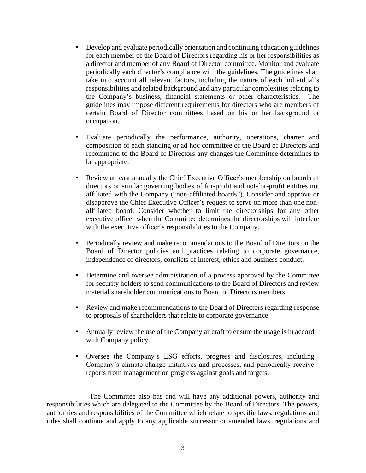- Develop and evaluate periodically orientation and continuing education guidelines for each member of the Board of Directors regarding his or her responsibilities as a director and member of any Board of Director committee. Monitor and evaluate periodically each director's compliance with the guidelines. The guidelines shall take into account all relevant factors, including the nature of each individual's responsibilities and related background and any particular complexities relating to the Company's business, financial statements or other characteristics. The guidelines may impose different requirements for directors who are members of certain Board of Director committees based on his or her background or occupation.
- Evaluate periodically the performance, authority, operations, charter and composition of each standing or ad hoc committee of the Board of Directors and recommend to the Board of Directors any changes the Committee determines to be appropriate.
- Review at least annually the Chief Executive Officer's membership on boards of directors or similar governing bodies of for-profit and not-for-profit entities not affiliated with the Company ("non-affiliated boards"). Consider and approve or disapprove the Chief Executive Officer's request to serve on more than one nonaffiliated board. Consider whether to limit the directorships for any other executive officer when the Committee determines the directorships will interfere with the executive officer's responsibilities to the Company.
- Periodically review and make recommendations to the Board of Directors on the Board of Director policies and practices relating to corporate governance, independence of directors, conflicts of interest, ethics and business conduct.
- Determine and oversee administration of a process approved by the Committee for security holders to send communications to the Board of Directors and review material shareholder communications to Board of Directors members.
- Review and make recommendations to the Board of Directors regarding response to proposals of shareholders that relate to corporate governance.
- Annually review the use of the Company aircraft to ensure the usage is in accord with Company policy.
- Oversee the Company's ESG efforts, progress and disclosures, including Company's climate change initiatives and processes, and periodically receive reports from management on progress against goals and targets.

The Committee also has and will have any additional powers, authority and responsibilities which are delegated to the Committee by the Board of Directors. The powers, authorities and responsibilities of the Committee which relate to specific laws, regulations and rules shall continue and apply to any applicable successor or amended laws, regulations and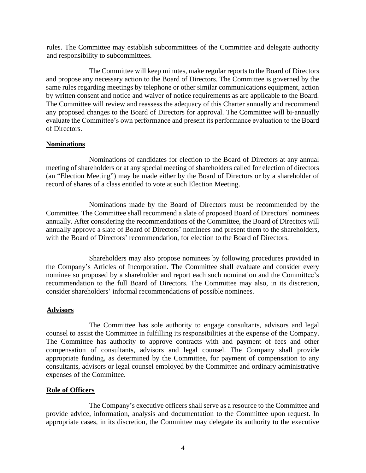rules. The Committee may establish subcommittees of the Committee and delegate authority and responsibility to subcommittees.

The Committee will keep minutes, make regular reports to the Board of Directors and propose any necessary action to the Board of Directors. The Committee is governed by the same rules regarding meetings by telephone or other similar communications equipment, action by written consent and notice and waiver of notice requirements as are applicable to the Board. The Committee will review and reassess the adequacy of this Charter annually and recommend any proposed changes to the Board of Directors for approval. The Committee will bi-annually evaluate the Committee's own performance and present its performance evaluation to the Board of Directors.

## **Nominations**

Nominations of candidates for election to the Board of Directors at any annual meeting of shareholders or at any special meeting of shareholders called for election of directors (an "Election Meeting") may be made either by the Board of Directors or by a shareholder of record of shares of a class entitled to vote at such Election Meeting.

Nominations made by the Board of Directors must be recommended by the Committee. The Committee shall recommend a slate of proposed Board of Directors' nominees annually. After considering the recommendations of the Committee, the Board of Directors will annually approve a slate of Board of Directors' nominees and present them to the shareholders, with the Board of Directors' recommendation, for election to the Board of Directors.

Shareholders may also propose nominees by following procedures provided in the Company's Articles of Incorporation. The Committee shall evaluate and consider every nominee so proposed by a shareholder and report each such nomination and the Committee's recommendation to the full Board of Directors. The Committee may also, in its discretion, consider shareholders' informal recommendations of possible nominees.

# **Advisors**

The Committee has sole authority to engage consultants, advisors and legal counsel to assist the Committee in fulfilling its responsibilities at the expense of the Company. The Committee has authority to approve contracts with and payment of fees and other compensation of consultants, advisors and legal counsel. The Company shall provide appropriate funding, as determined by the Committee, for payment of compensation to any consultants, advisors or legal counsel employed by the Committee and ordinary administrative expenses of the Committee.

## **Role of Officers**

The Company's executive officers shall serve as a resource to the Committee and provide advice, information, analysis and documentation to the Committee upon request. In appropriate cases, in its discretion, the Committee may delegate its authority to the executive